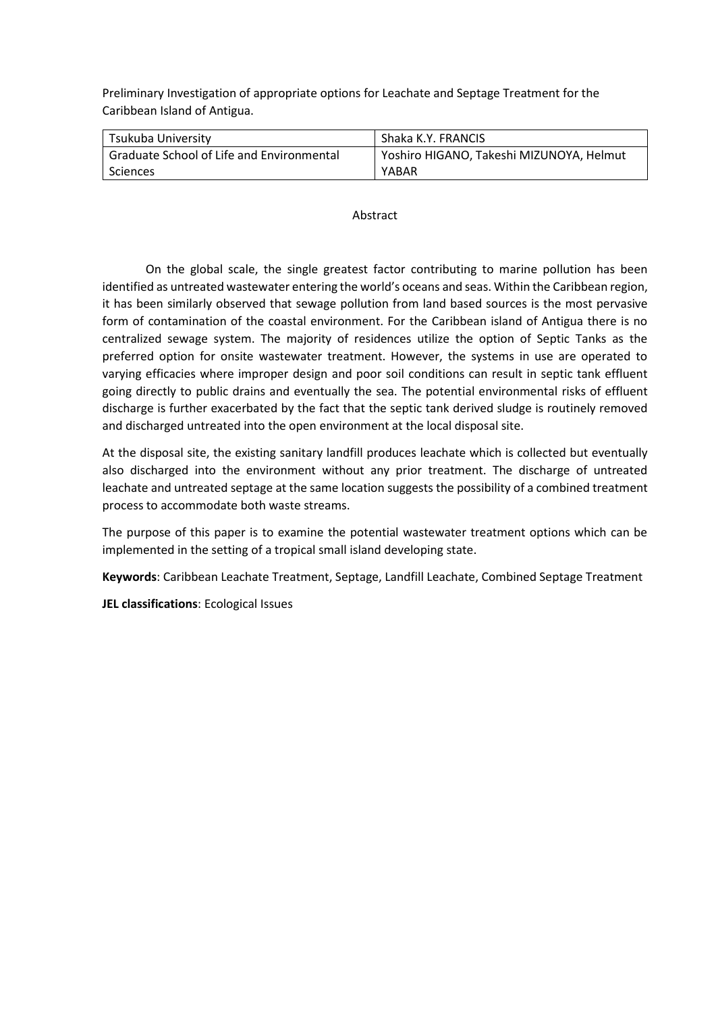Preliminary Investigation of appropriate options for Leachate and Septage Treatment for the Caribbean Island of Antigua.

| Tsukuba University                        | Shaka K.Y. FRANCIS                       |
|-------------------------------------------|------------------------------------------|
| Graduate School of Life and Environmental | Yoshiro HIGANO, Takeshi MIZUNOYA, Helmut |
| Sciences                                  | YABAR                                    |

### Abstract

On the global scale, the single greatest factor contributing to marine pollution has been identified as untreated wastewater entering the world's oceans and seas. Within the Caribbean region, it has been similarly observed that sewage pollution from land based sources is the most pervasive form of contamination of the coastal environment. For the Caribbean island of Antigua there is no centralized sewage system. The majority of residences utilize the option of Septic Tanks as the preferred option for onsite wastewater treatment. However, the systems in use are operated to varying efficacies where improper design and poor soil conditions can result in septic tank effluent going directly to public drains and eventually the sea. The potential environmental risks of effluent discharge is further exacerbated by the fact that the septic tank derived sludge is routinely removed and discharged untreated into the open environment at the local disposal site.

At the disposal site, the existing sanitary landfill produces leachate which is collected but eventually also discharged into the environment without any prior treatment. The discharge of untreated leachate and untreated septage at the same location suggests the possibility of a combined treatment process to accommodate both waste streams.

The purpose of this paper is to examine the potential wastewater treatment options which can be implemented in the setting of a tropical small island developing state.

**Keywords**: Caribbean Leachate Treatment, Septage, Landfill Leachate, Combined Septage Treatment

**JEL classifications**: Ecological Issues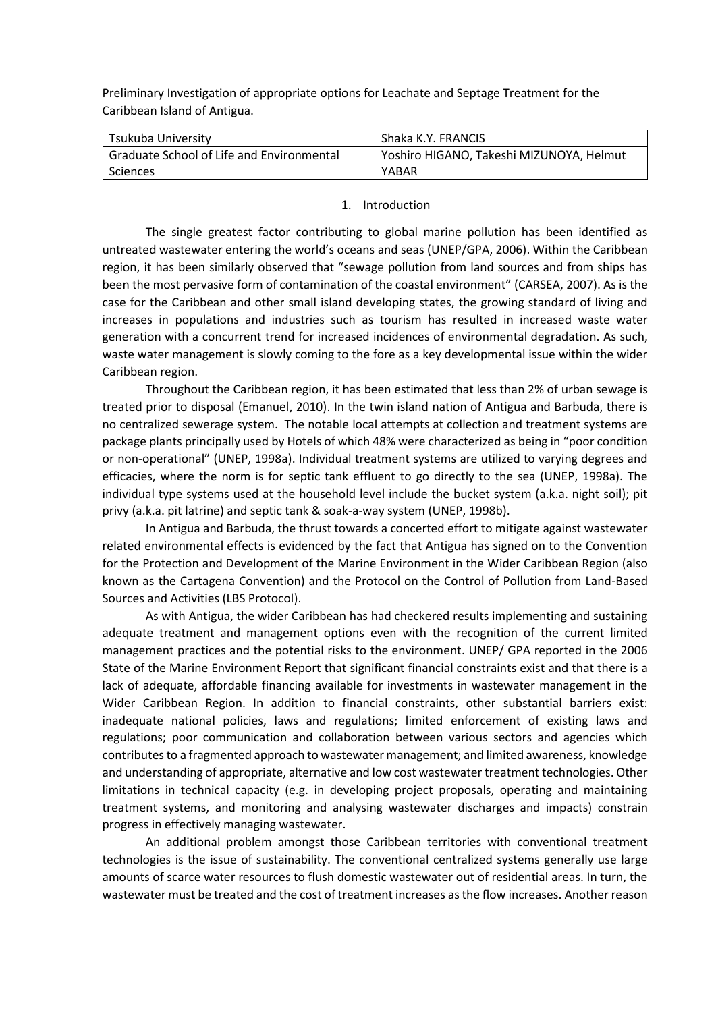Preliminary Investigation of appropriate options for Leachate and Septage Treatment for the Caribbean Island of Antigua.

| Tsukuba University                        | Shaka K.Y. FRANCIS                       |
|-------------------------------------------|------------------------------------------|
| Graduate School of Life and Environmental | Yoshiro HIGANO, Takeshi MIZUNOYA, Helmut |
| Sciences                                  | YABAR                                    |

#### 1. Introduction

The single greatest factor contributing to global marine pollution has been identified as untreated wastewater entering the world's oceans and seas (UNEP/GPA, 2006). Within the Caribbean region, it has been similarly observed that "sewage pollution from land sources and from ships has been the most pervasive form of contamination of the coastal environment" (CARSEA, 2007). As is the case for the Caribbean and other small island developing states, the growing standard of living and increases in populations and industries such as tourism has resulted in increased waste water generation with a concurrent trend for increased incidences of environmental degradation. As such, waste water management is slowly coming to the fore as a key developmental issue within the wider Caribbean region.

Throughout the Caribbean region, it has been estimated that less than 2% of urban sewage is treated prior to disposal (Emanuel, 2010). In the twin island nation of Antigua and Barbuda, there is no centralized sewerage system. The notable local attempts at collection and treatment systems are package plants principally used by Hotels of which 48% were characterized as being in "poor condition or non-operational" (UNEP, 1998a). Individual treatment systems are utilized to varying degrees and efficacies, where the norm is for septic tank effluent to go directly to the sea (UNEP, 1998a). The individual type systems used at the household level include the bucket system (a.k.a. night soil); pit privy (a.k.a. pit latrine) and septic tank & soak-a-way system (UNEP, 1998b).

In Antigua and Barbuda, the thrust towards a concerted effort to mitigate against wastewater related environmental effects is evidenced by the fact that Antigua has signed on to the Convention for the Protection and Development of the Marine Environment in the Wider Caribbean Region (also known as the Cartagena Convention) and the Protocol on the Control of Pollution from Land-Based Sources and Activities (LBS Protocol).

As with Antigua, the wider Caribbean has had checkered results implementing and sustaining adequate treatment and management options even with the recognition of the current limited management practices and the potential risks to the environment. UNEP/ GPA reported in the 2006 State of the Marine Environment Report that significant financial constraints exist and that there is a lack of adequate, affordable financing available for investments in wastewater management in the Wider Caribbean Region. In addition to financial constraints, other substantial barriers exist: inadequate national policies, laws and regulations; limited enforcement of existing laws and regulations; poor communication and collaboration between various sectors and agencies which contributes to a fragmented approach to wastewater management; and limited awareness, knowledge and understanding of appropriate, alternative and low cost wastewater treatment technologies. Other limitations in technical capacity (e.g. in developing project proposals, operating and maintaining treatment systems, and monitoring and analysing wastewater discharges and impacts) constrain progress in effectively managing wastewater.

An additional problem amongst those Caribbean territories with conventional treatment technologies is the issue of sustainability. The conventional centralized systems generally use large amounts of scarce water resources to flush domestic wastewater out of residential areas. In turn, the wastewater must be treated and the cost of treatment increases as the flow increases. Another reason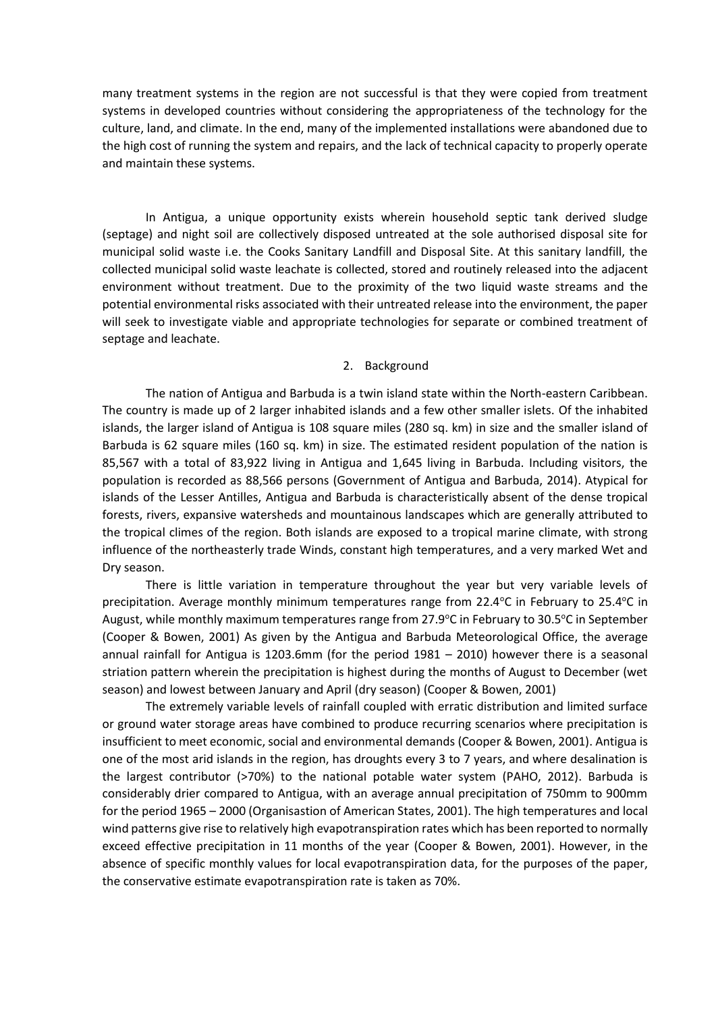many treatment systems in the region are not successful is that they were copied from treatment systems in developed countries without considering the appropriateness of the technology for the culture, land, and climate. In the end, many of the implemented installations were abandoned due to the high cost of running the system and repairs, and the lack of technical capacity to properly operate and maintain these systems.

In Antigua, a unique opportunity exists wherein household septic tank derived sludge (septage) and night soil are collectively disposed untreated at the sole authorised disposal site for municipal solid waste i.e. the Cooks Sanitary Landfill and Disposal Site. At this sanitary landfill, the collected municipal solid waste leachate is collected, stored and routinely released into the adjacent environment without treatment. Due to the proximity of the two liquid waste streams and the potential environmental risks associated with their untreated release into the environment, the paper will seek to investigate viable and appropriate technologies for separate or combined treatment of septage and leachate.

#### 2. Background

The nation of Antigua and Barbuda is a twin island state within the North-eastern Caribbean. The country is made up of 2 larger inhabited islands and a few other smaller islets. Of the inhabited islands, the larger island of Antigua is 108 square miles (280 sq. km) in size and the smaller island of Barbuda is 62 square miles (160 sq. km) in size. The estimated resident population of the nation is 85,567 with a total of 83,922 living in Antigua and 1,645 living in Barbuda. Including visitors, the population is recorded as 88,566 persons (Government of Antigua and Barbuda, 2014). Atypical for islands of the Lesser Antilles, Antigua and Barbuda is characteristically absent of the dense tropical forests, rivers, expansive watersheds and mountainous landscapes which are generally attributed to the tropical climes of the region. Both islands are exposed to a tropical marine climate, with strong influence of the northeasterly trade Winds, constant high temperatures, and a very marked Wet and Dry season.

There is little variation in temperature throughout the year but very variable levels of precipitation. Average monthly minimum temperatures range from  $22.4^{\circ}$ C in February to  $25.4^{\circ}$ C in August, while monthly maximum temperatures range from 27.9 $^{\circ}$ C in February to 30.5 $^{\circ}$ C in September (Cooper & Bowen, 2001) As given by the Antigua and Barbuda Meteorological Office, the average annual rainfall for Antigua is 1203.6mm (for the period 1981 – 2010) however there is a seasonal striation pattern wherein the precipitation is highest during the months of August to December (wet season) and lowest between January and April (dry season) (Cooper & Bowen, 2001)

The extremely variable levels of rainfall coupled with erratic distribution and limited surface or ground water storage areas have combined to produce recurring scenarios where precipitation is insufficient to meet economic, social and environmental demands (Cooper & Bowen, 2001). Antigua is one of the most arid islands in the region, has droughts every 3 to 7 years, and where desalination is the largest contributor (>70%) to the national potable water system (PAHO, 2012). Barbuda is considerably drier compared to Antigua, with an average annual precipitation of 750mm to 900mm for the period 1965 – 2000 (Organisastion of American States, 2001). The high temperatures and local wind patterns give rise to relatively high evapotranspiration rates which has been reported to normally exceed effective precipitation in 11 months of the year (Cooper & Bowen, 2001). However, in the absence of specific monthly values for local evapotranspiration data, for the purposes of the paper, the conservative estimate evapotranspiration rate is taken as 70%.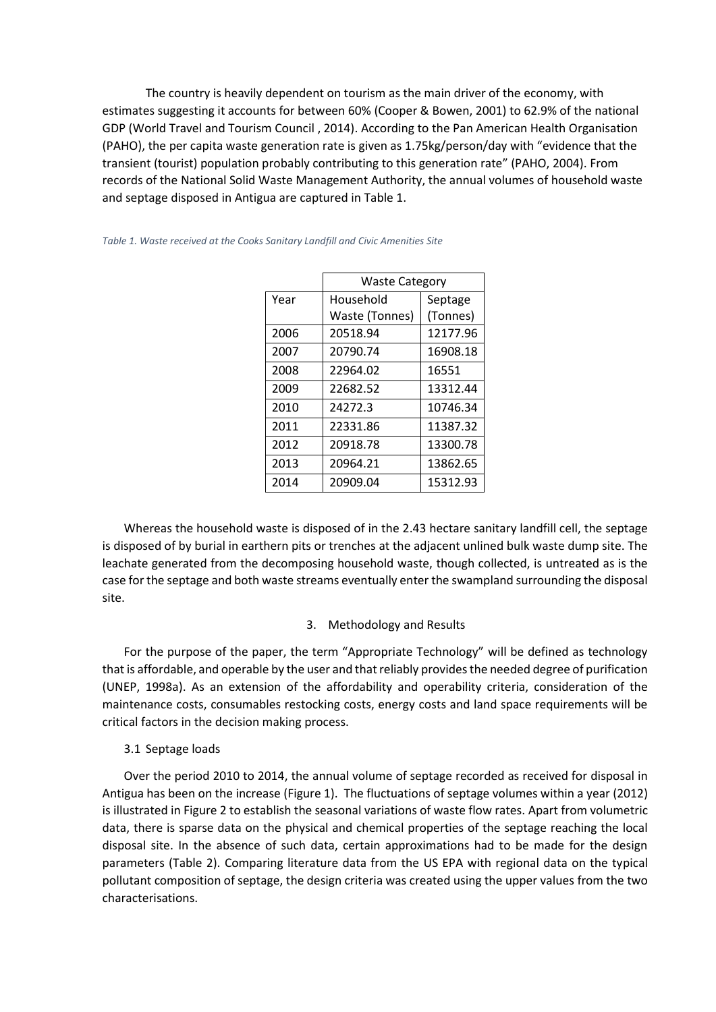The country is heavily dependent on tourism as the main driver of the economy, with estimates suggesting it accounts for between 60% (Cooper & Bowen, 2001) to 62.9% of the national GDP (World Travel and Tourism Council , 2014). According to the Pan American Health Organisation (PAHO), the per capita waste generation rate is given as 1.75kg/person/day with "evidence that the transient (tourist) population probably contributing to this generation rate" (PAHO, 2004). From records of the National Solid Waste Management Authority, the annual volumes of household waste and septage disposed in Antigua are captured in Table 1.

|      | <b>Waste Category</b> |          |  |
|------|-----------------------|----------|--|
| Year | Household             | Septage  |  |
|      | Waste (Tonnes)        | (Tonnes) |  |
| 2006 | 20518.94              | 12177.96 |  |
| 2007 | 20790.74              | 16908.18 |  |
| 2008 | 22964.02              | 16551    |  |
| 2009 | 22682.52              | 13312.44 |  |
| 2010 | 24272.3               | 10746.34 |  |
| 2011 | 22331.86              | 11387.32 |  |
| 2012 | 20918.78              | 13300.78 |  |
| 2013 | 20964.21              | 13862.65 |  |
| 2014 | 20909.04              | 15312.93 |  |

#### *Table 1. Waste received at the Cooks Sanitary Landfill and Civic Amenities Site*

Whereas the household waste is disposed of in the 2.43 hectare sanitary landfill cell, the septage is disposed of by burial in earthern pits or trenches at the adjacent unlined bulk waste dump site. The leachate generated from the decomposing household waste, though collected, is untreated as is the case for the septage and both waste streams eventually enter the swampland surrounding the disposal site.

#### 3. Methodology and Results

For the purpose of the paper, the term "Appropriate Technology" will be defined as technology that is affordable, and operable by the user and that reliably provides the needed degree of purification (UNEP, 1998a). As an extension of the affordability and operability criteria, consideration of the maintenance costs, consumables restocking costs, energy costs and land space requirements will be critical factors in the decision making process.

#### 3.1 Septage loads

Over the period 2010 to 2014, the annual volume of septage recorded as received for disposal in Antigua has been on the increase (Figure 1). The fluctuations of septage volumes within a year (2012) is illustrated in Figure 2 to establish the seasonal variations of waste flow rates. Apart from volumetric data, there is sparse data on the physical and chemical properties of the septage reaching the local disposal site. In the absence of such data, certain approximations had to be made for the design parameters (Table 2). Comparing literature data from the US EPA with regional data on the typical pollutant composition of septage, the design criteria was created using the upper values from the two characterisations.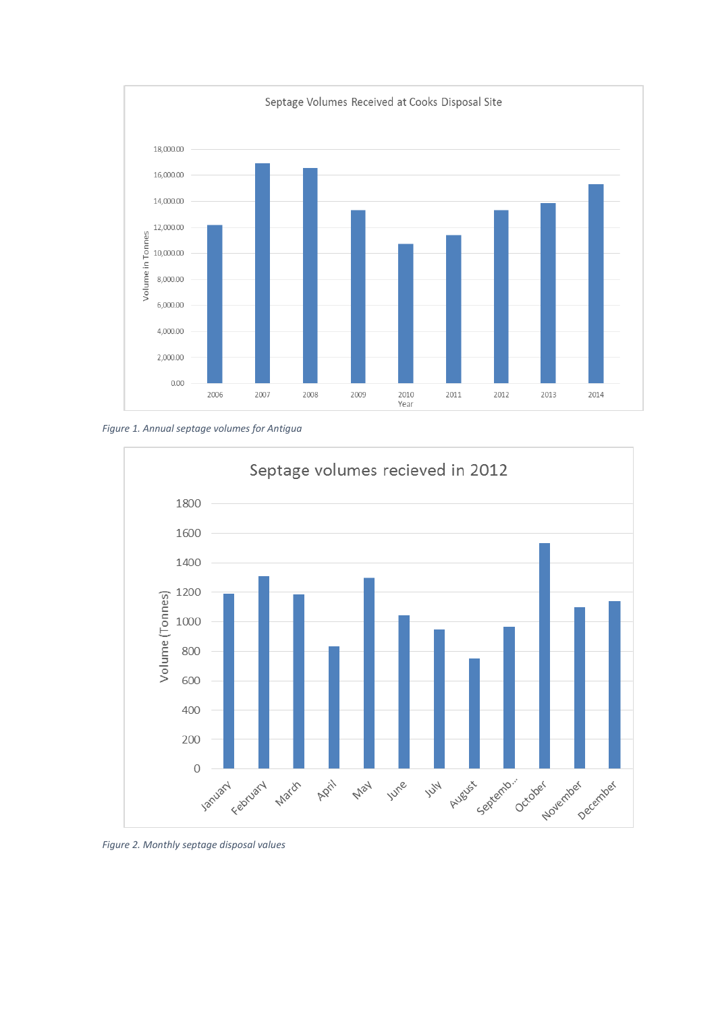

*Figure 1. Annual septage volumes for Antigua*



*Figure 2. Monthly septage disposal values*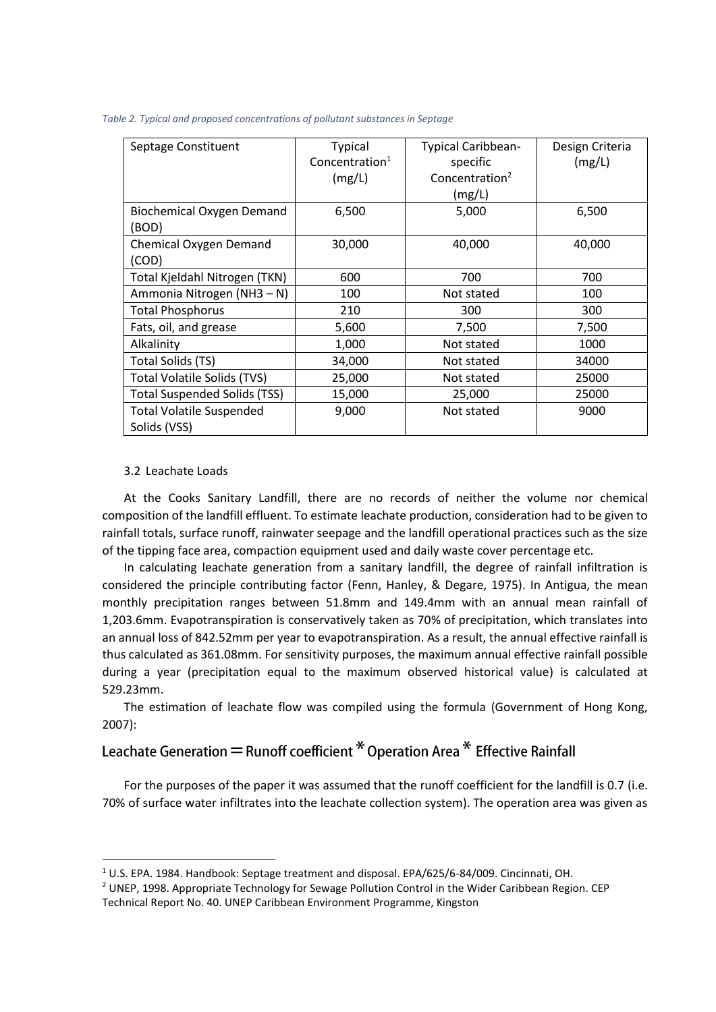| Septage Constituent                             | <b>Typical</b><br>Concentration <sup>1</sup> | <b>Typical Caribbean-</b><br>specific | Design Criteria<br>(mg/L) |
|-------------------------------------------------|----------------------------------------------|---------------------------------------|---------------------------|
|                                                 | (mg/L)                                       | Concentration <sup>2</sup>            |                           |
|                                                 |                                              | (mg/L)                                |                           |
| <b>Biochemical Oxygen Demand</b><br>(BOD)       | 6,500                                        | 5,000                                 | 6,500                     |
| Chemical Oxygen Demand<br>(COD)                 | 30,000                                       | 40,000                                | 40,000                    |
| Total Kjeldahl Nitrogen (TKN)                   | 600                                          | 700                                   | 700                       |
| Ammonia Nitrogen (NH3 - N)                      | 100                                          | Not stated                            | 100                       |
| <b>Total Phosphorus</b>                         | 210                                          | 300                                   | 300                       |
| Fats, oil, and grease                           | 5,600                                        | 7,500                                 | 7,500                     |
| Alkalinity                                      | 1,000                                        | Not stated                            | 1000                      |
| Total Solids (TS)                               | 34,000                                       | Not stated                            | 34000                     |
| <b>Total Volatile Solids (TVS)</b>              | 25,000                                       | Not stated                            | 25000                     |
| <b>Total Suspended Solids (TSS)</b>             | 15,000                                       | 25,000                                | 25000                     |
| <b>Total Volatile Suspended</b><br>Solids (VSS) | 9,000                                        | Not stated                            | 9000                      |

#### 3.2 Leachate Loads

**.** 

At the Cooks Sanitary Landfill, there are no records of neither the volume nor chemical composition of the landfill effluent. To estimate leachate production, consideration had to be given to rainfall totals, surface runoff, rainwater seepage and the landfill operational practices such as the size of the tipping face area, compaction equipment used and daily waste cover percentage etc.

In calculating leachate generation from a sanitary landfill, the degree of rainfall infiltration is considered the principle contributing factor (Fenn, Hanley, & Degare, 1975). In Antigua, the mean monthly precipitation ranges between 51.8mm and 149.4mm with an annual mean rainfall of 1,203.6mm. Evapotranspiration is conservatively taken as 70% of precipitation, which translates into an annual loss of 842.52mm per year to evapotranspiration. As a result, the annual effective rainfall is thus calculated as 361.08mm. For sensitivity purposes, the maximum annual effective rainfall possible during a year (precipitation equal to the maximum observed historical value) is calculated at 529.23mm.

The estimation of leachate flow was compiled using the formula (Government of Hong Kong, 2007):

# Leachate Generation = Runoff coefficient \* Operation Area \* Effective Rainfall

For the purposes of the paper it was assumed that the runoff coefficient for the landfill is 0.7 (i.e. 70% of surface water infiltrates into the leachate collection system). The operation area was given as

<sup>1</sup> U.S. EPA. 1984. Handbook: Septage treatment and disposal. EPA/625/6-84/009. Cincinnati, OH.

<sup>&</sup>lt;sup>2</sup> UNEP, 1998. Appropriate Technology for Sewage Pollution Control in the Wider Caribbean Region. CEP Technical Report No. 40. UNEP Caribbean Environment Programme, Kingston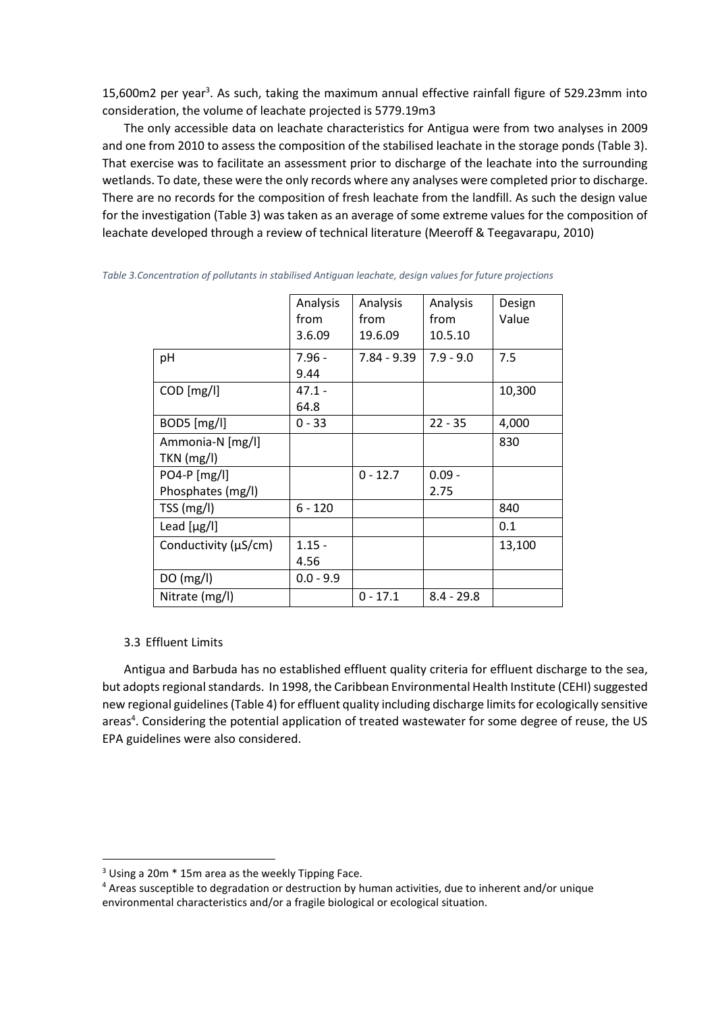15,600m2 per year<sup>3</sup>. As such, taking the maximum annual effective rainfall figure of 529.23mm into consideration, the volume of leachate projected is 5779.19m3

The only accessible data on leachate characteristics for Antigua were from two analyses in 2009 and one from 2010 to assess the composition of the stabilised leachate in the storage ponds (Table 3). That exercise was to facilitate an assessment prior to discharge of the leachate into the surrounding wetlands. To date, these were the only records where any analyses were completed prior to discharge. There are no records for the composition of fresh leachate from the landfill. As such the design value for the investigation (Table 3) was taken as an average of some extreme values for the composition of leachate developed through a review of technical literature (Meeroff & Teegavarapu, 2010)

|                                   | Analysis<br>from<br>3.6.09 | Analysis<br>from<br>19.6.09 | Analysis<br>from<br>10.5.10 | Design<br>Value |
|-----------------------------------|----------------------------|-----------------------------|-----------------------------|-----------------|
| pH                                | $7.96 -$<br>9.44           | $7.84 - 9.39$               | $7.9 - 9.0$                 | 7.5             |
| COD [mg/l]                        | $47.1 -$<br>64.8           |                             |                             | 10,300          |
| $BOD5$ [mg/l]                     | $0 - 33$                   |                             | $22 - 35$                   | 4,000           |
| Ammonia-N [mg/l]<br>TKN (mg/l)    |                            |                             |                             | 830             |
| PO4-P [mg/l]<br>Phosphates (mg/l) |                            | $0 - 12.7$                  | $0.09 -$<br>2.75            |                 |
| TSS (mg/l)                        | $6 - 120$                  |                             |                             | 840             |
| Lead $[\mu g/I]$                  |                            |                             |                             | 0.1             |
| Conductivity (µS/cm)              | $1.15 -$<br>4.56           |                             |                             | 13,100          |
| DO(mg/l)                          | $0.0 - 9.9$                |                             |                             |                 |
| Nitrate (mg/l)                    |                            | $0 - 17.1$                  | $8.4 - 29.8$                |                 |

| Table 3.Concentration of pollutants in stabilised Antiguan leachate, design values for future projections |  |  |  |  |
|-----------------------------------------------------------------------------------------------------------|--|--|--|--|
|                                                                                                           |  |  |  |  |

#### 3.3 Effluent Limits

**.** 

Antigua and Barbuda has no established effluent quality criteria for effluent discharge to the sea, but adopts regional standards. In 1998, the Caribbean Environmental Health Institute (CEHI) suggested new regional guidelines (Table 4) for effluent quality including discharge limits for ecologically sensitive areas<sup>4</sup>. Considering the potential application of treated wastewater for some degree of reuse, the US EPA guidelines were also considered.

<sup>3</sup> Using a 20m \* 15m area as the weekly Tipping Face.

<sup>4</sup> Areas susceptible to degradation or destruction by human activities, due to inherent and/or unique environmental characteristics and/or a fragile biological or ecological situation.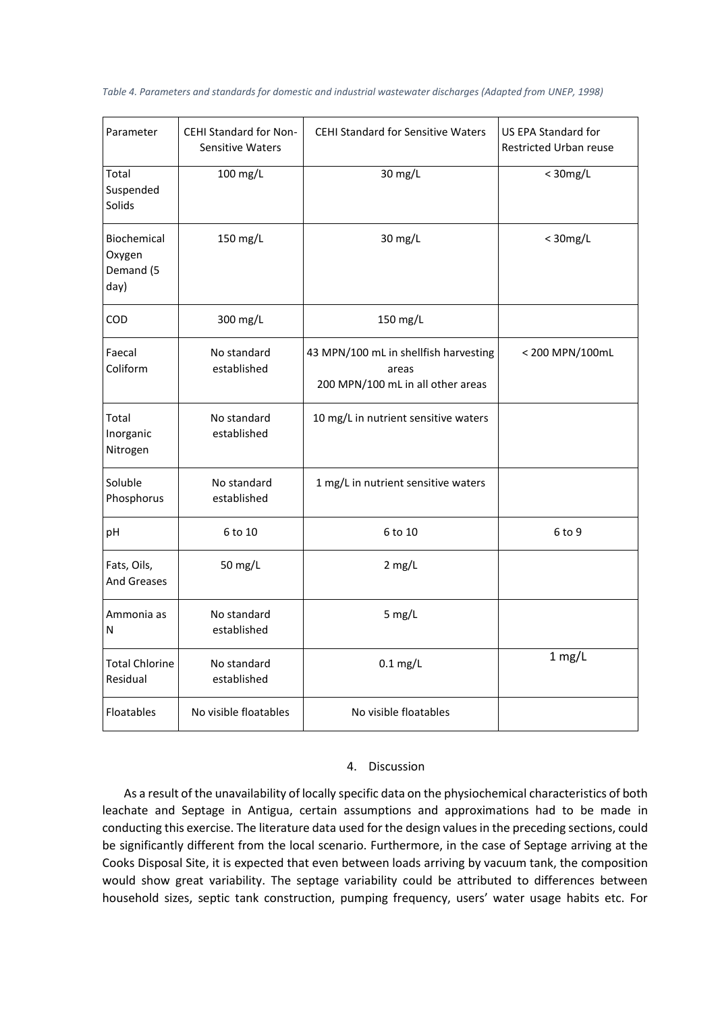|  |  | Table 4. Parameters and standards for domestic and industrial wastewater discharges (Adapted from UNEP, 1998) |
|--|--|---------------------------------------------------------------------------------------------------------------|
|--|--|---------------------------------------------------------------------------------------------------------------|

| Parameter                                  | <b>CEHI Standard for Non-</b><br><b>Sensitive Waters</b> | <b>CEHI Standard for Sensitive Waters</b>                                           | US EPA Standard for<br><b>Restricted Urban reuse</b> |
|--------------------------------------------|----------------------------------------------------------|-------------------------------------------------------------------------------------|------------------------------------------------------|
| Total<br>Suspended<br>Solids               | 100 mg/L                                                 | 30 mg/L                                                                             | $<$ 30mg/L                                           |
| Biochemical<br>Oxygen<br>Demand (5<br>day) | 150 mg/L                                                 | 30 mg/L                                                                             | $<$ 30mg/L                                           |
| COD                                        | 300 mg/L                                                 | 150 mg/L                                                                            |                                                      |
| Faecal<br>Coliform                         | No standard<br>established                               | 43 MPN/100 mL in shellfish harvesting<br>areas<br>200 MPN/100 mL in all other areas | < 200 MPN/100mL                                      |
| Total<br>Inorganic<br>Nitrogen             | No standard<br>established                               | 10 mg/L in nutrient sensitive waters                                                |                                                      |
| Soluble<br>Phosphorus                      | No standard<br>established                               | 1 mg/L in nutrient sensitive waters                                                 |                                                      |
| рH                                         | 6 to 10                                                  | 6 to 10                                                                             | 6 to 9                                               |
| Fats, Oils,<br><b>And Greases</b>          | 50 mg/L                                                  | $2$ mg/L                                                                            |                                                      |
| Ammonia as<br>N                            | No standard<br>established                               | $5$ mg/L                                                                            |                                                      |
| <b>Total Chlorine</b><br>Residual          | No standard<br>established                               | $0.1$ mg/L                                                                          | $1$ mg/L                                             |
| Floatables                                 | No visible floatables                                    | No visible floatables                                                               |                                                      |

### 4. Discussion

As a result of the unavailability of locally specific data on the physiochemical characteristics of both leachate and Septage in Antigua, certain assumptions and approximations had to be made in conducting this exercise. The literature data used for the design values in the preceding sections, could be significantly different from the local scenario. Furthermore, in the case of Septage arriving at the Cooks Disposal Site, it is expected that even between loads arriving by vacuum tank, the composition would show great variability. The septage variability could be attributed to differences between household sizes, septic tank construction, pumping frequency, users' water usage habits etc. For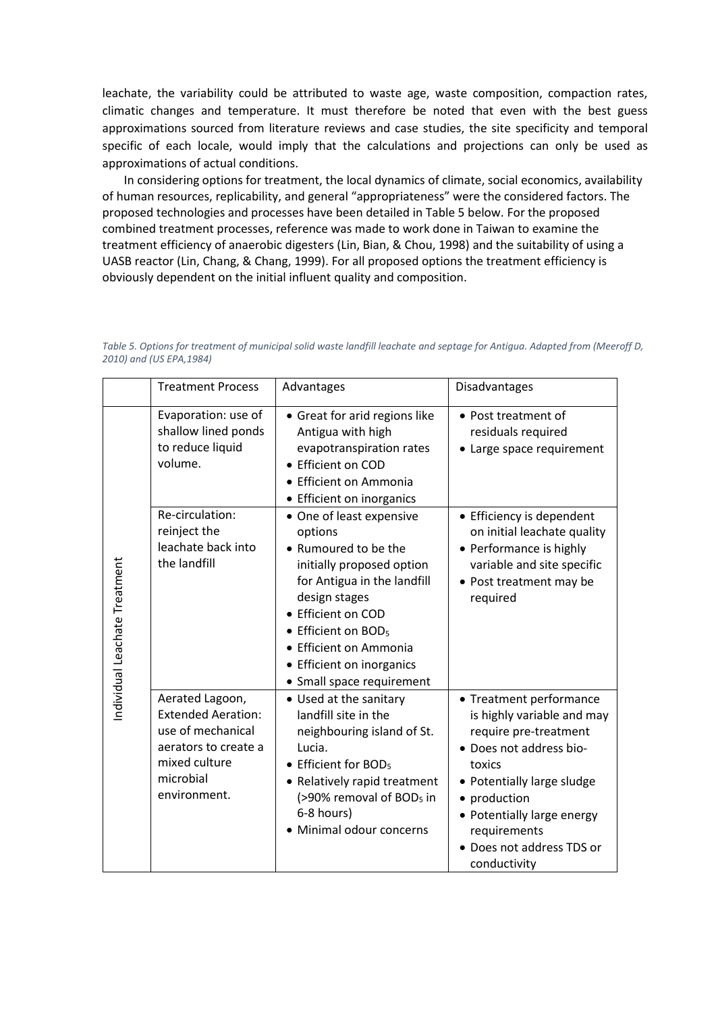leachate, the variability could be attributed to waste age, waste composition, compaction rates, climatic changes and temperature. It must therefore be noted that even with the best guess approximations sourced from literature reviews and case studies, the site specificity and temporal specific of each locale, would imply that the calculations and projections can only be used as approximations of actual conditions.

In considering options for treatment, the local dynamics of climate, social economics, availability of human resources, replicability, and general "appropriateness" were the considered factors. The proposed technologies and processes have been detailed in Table 5 below. For the proposed combined treatment processes, reference was made to work done in Taiwan to examine the treatment efficiency of anaerobic digesters (Lin, Bian, & Chou, 1998) and the suitability of using a UASB reactor (Lin, Chang, & Chang, 1999). For all proposed options the treatment efficiency is obviously dependent on the initial influent quality and composition.

|                               | <b>Treatment Process</b>                                                                                                                | Advantages                                                                                                                                                                                                                                                                            | Disadvantages                                                                                                                                                                                                                                                |
|-------------------------------|-----------------------------------------------------------------------------------------------------------------------------------------|---------------------------------------------------------------------------------------------------------------------------------------------------------------------------------------------------------------------------------------------------------------------------------------|--------------------------------------------------------------------------------------------------------------------------------------------------------------------------------------------------------------------------------------------------------------|
|                               | Evaporation: use of<br>shallow lined ponds<br>to reduce liquid<br>volume.                                                               | • Great for arid regions like<br>Antigua with high<br>evapotranspiration rates<br>• Efficient on COD<br>• Efficient on Ammonia<br>• Efficient on inorganics                                                                                                                           | • Post treatment of<br>residuals required<br>• Large space requirement                                                                                                                                                                                       |
| Individual Leachate Treatment | Re-circulation:<br>reinject the<br>leachate back into<br>the landfill                                                                   | • One of least expensive<br>options<br>• Rumoured to be the<br>initially proposed option<br>for Antigua in the landfill<br>design stages<br>• Efficient on COD<br>• Efficient on BOD <sub>5</sub><br>• Efficient on Ammonia<br>• Efficient on inorganics<br>• Small space requirement | • Efficiency is dependent<br>on initial leachate quality<br>• Performance is highly<br>variable and site specific<br>• Post treatment may be<br>required                                                                                                     |
|                               | Aerated Lagoon,<br><b>Extended Aeration:</b><br>use of mechanical<br>aerators to create a<br>mixed culture<br>microbial<br>environment. | • Used at the sanitary<br>landfill site in the<br>neighbouring island of St.<br>Lucia.<br>• Efficient for BOD <sub>5</sub><br>• Relatively rapid treatment<br>(>90% removal of BOD <sub>5</sub> in<br>6-8 hours)<br>· Minimal odour concerns                                          | • Treatment performance<br>is highly variable and may<br>require pre-treatment<br>· Does not address bio-<br>toxics<br>• Potentially large sludge<br>• production<br>• Potentially large energy<br>requirements<br>• Does not address TDS or<br>conductivity |

*Table 5. Options for treatment of municipal solid waste landfill leachate and septage for Antigua. Adapted from (Meeroff D, 2010) and (US EPA,1984)*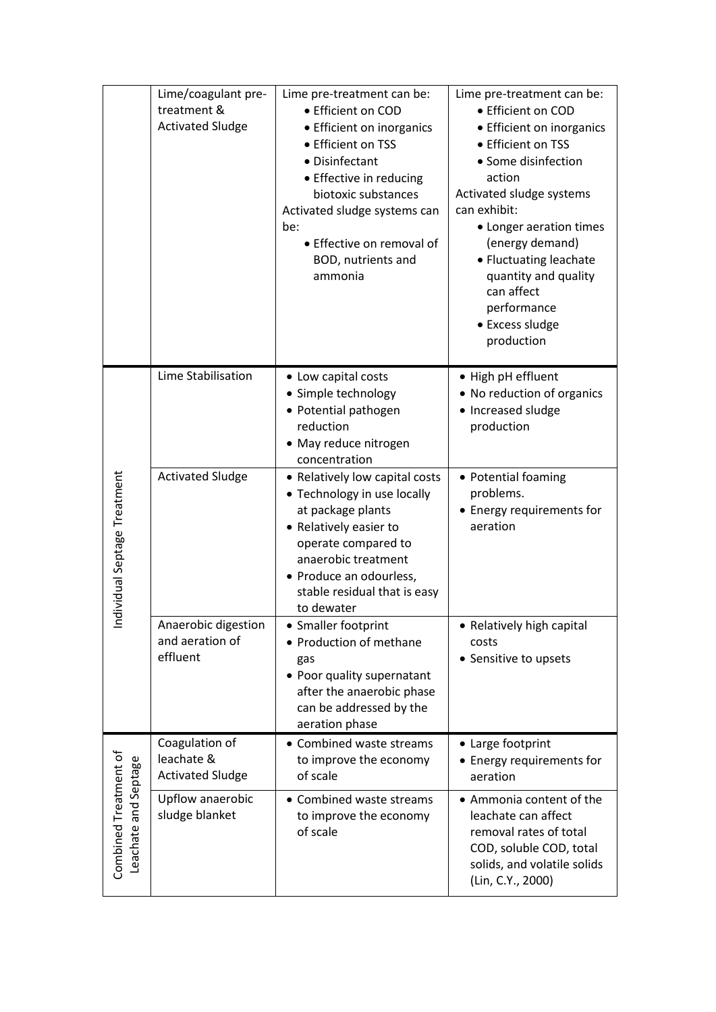|                                               | Lime/coagulant pre-<br>treatment &<br><b>Activated Sludge</b> | Lime pre-treatment can be:<br>• Efficient on COD<br>• Efficient on inorganics<br>• Efficient on TSS<br>• Disinfectant<br>• Effective in reducing<br>biotoxic substances<br>Activated sludge systems can<br>be:<br>• Effective on removal of<br>BOD, nutrients and<br>ammonia | Lime pre-treatment can be:<br>• Efficient on COD<br>• Efficient on inorganics<br>• Efficient on TSS<br>• Some disinfection<br>action<br>Activated sludge systems<br>can exhibit:<br>• Longer aeration times<br>(energy demand)<br>• Fluctuating leachate<br>quantity and quality<br>can affect<br>performance<br>• Excess sludge<br>production |
|-----------------------------------------------|---------------------------------------------------------------|------------------------------------------------------------------------------------------------------------------------------------------------------------------------------------------------------------------------------------------------------------------------------|------------------------------------------------------------------------------------------------------------------------------------------------------------------------------------------------------------------------------------------------------------------------------------------------------------------------------------------------|
|                                               | Lime Stabilisation                                            | • Low capital costs<br>• Simple technology<br>• Potential pathogen<br>reduction<br>• May reduce nitrogen<br>concentration                                                                                                                                                    | • High pH effluent<br>• No reduction of organics<br>• Increased sludge<br>production                                                                                                                                                                                                                                                           |
| Individual Septage Treatment                  | <b>Activated Sludge</b>                                       | • Relatively low capital costs<br>• Technology in use locally<br>at package plants<br>• Relatively easier to<br>operate compared to<br>anaerobic treatment<br>• Produce an odourless,<br>stable residual that is easy<br>to dewater                                          | • Potential foaming<br>problems.<br>• Energy requirements for<br>aeration                                                                                                                                                                                                                                                                      |
|                                               | Anaerobic digestion<br>and aeration of<br>effluent            | • Smaller footprint<br>• Production of methane<br>gas<br>• Poor quality supernatant<br>after the anaerobic phase<br>can be addressed by the<br>aeration phase                                                                                                                | • Relatively high capital<br>costs<br>• Sensitive to upsets                                                                                                                                                                                                                                                                                    |
|                                               | Coagulation of<br>leachate &<br><b>Activated Sludge</b>       | • Combined waste streams<br>to improve the economy<br>of scale                                                                                                                                                                                                               | • Large footprint<br>• Energy requirements for<br>aeration                                                                                                                                                                                                                                                                                     |
| Combined Treatment of<br>Leachate and Septage | Upflow anaerobic<br>sludge blanket                            | • Combined waste streams<br>to improve the economy<br>of scale                                                                                                                                                                                                               | • Ammonia content of the<br>leachate can affect<br>removal rates of total<br>COD, soluble COD, total<br>solids, and volatile solids<br>(Lin, C.Y., 2000)                                                                                                                                                                                       |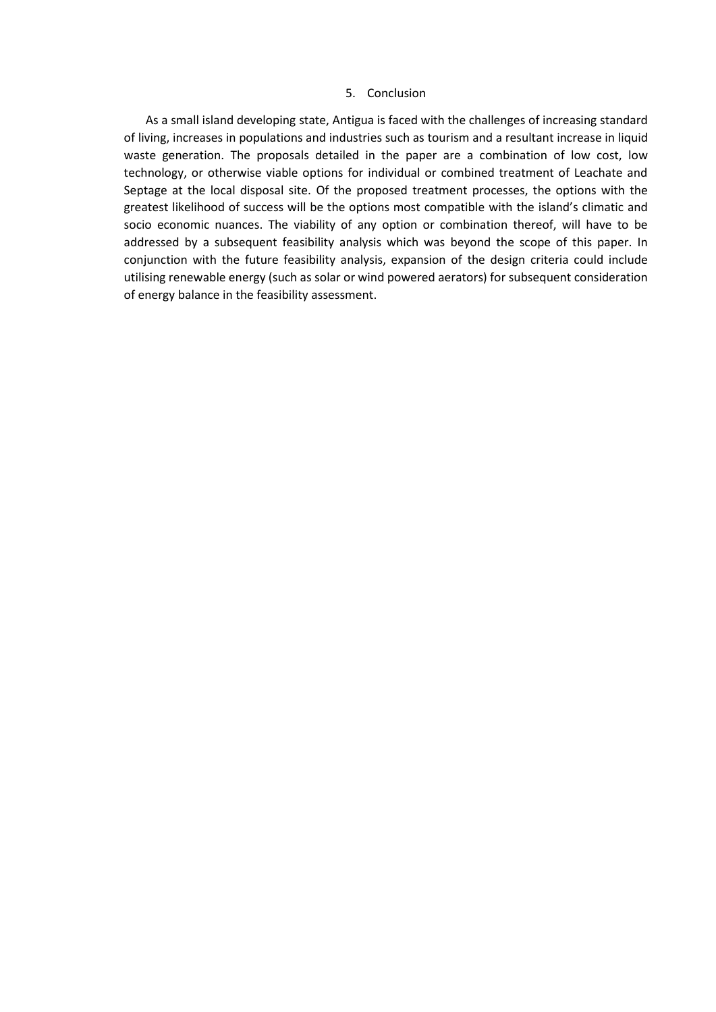#### 5. Conclusion

As a small island developing state, Antigua is faced with the challenges of increasing standard of living, increases in populations and industries such as tourism and a resultant increase in liquid waste generation. The proposals detailed in the paper are a combination of low cost, low technology, or otherwise viable options for individual or combined treatment of Leachate and Septage at the local disposal site. Of the proposed treatment processes, the options with the greatest likelihood of success will be the options most compatible with the island's climatic and socio economic nuances. The viability of any option or combination thereof, will have to be addressed by a subsequent feasibility analysis which was beyond the scope of this paper. In conjunction with the future feasibility analysis, expansion of the design criteria could include utilising renewable energy (such as solar or wind powered aerators) for subsequent consideration of energy balance in the feasibility assessment.